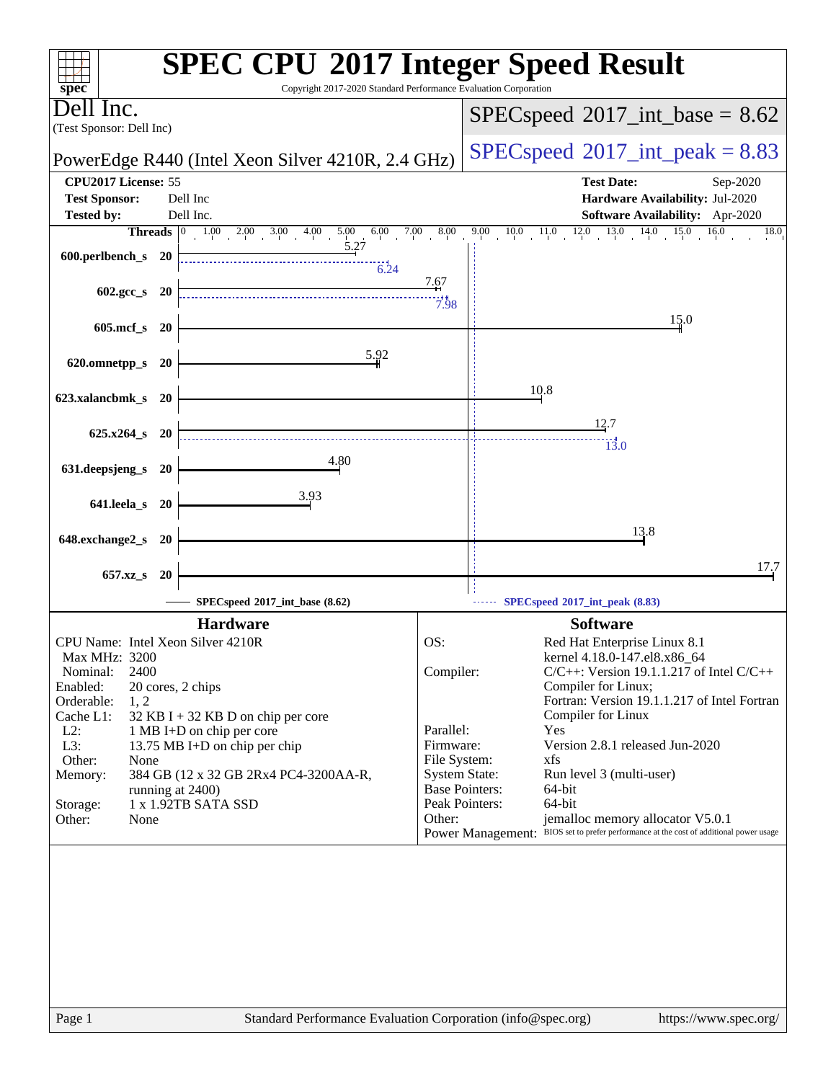| $spec^*$                                                           | <b>SPEC CPU®2017 Integer Speed Result</b><br>Copyright 2017-2020 Standard Performance Evaluation Corporation                                                     |
|--------------------------------------------------------------------|------------------------------------------------------------------------------------------------------------------------------------------------------------------|
| Jell Inc.<br>(Test Sponsor: Dell Inc)                              | $SPEC speed^{\circ}2017\_int\_base = 8.62$                                                                                                                       |
| PowerEdge R440 (Intel Xeon Silver 4210R, 2.4 GHz)                  | $SPEC speed^{\circ}2017\_int\_peak = 8.83$                                                                                                                       |
| CPU2017 License: 55                                                | <b>Test Date:</b><br>Sep-2020                                                                                                                                    |
| <b>Test Sponsor:</b><br>Dell Inc<br>Dell Inc.<br><b>Tested by:</b> | Hardware Availability: Jul-2020<br>Software Availability: Apr-2020                                                                                               |
|                                                                    | 9.00 10.0 11.0 12.0 13.0 14.0 15.0<br>16.0<br>18.0                                                                                                               |
| 5.27<br>600.perlbench_s 20<br>6.24                                 |                                                                                                                                                                  |
| $602.\text{gcc s}$ 20                                              | 7.67<br>7.98                                                                                                                                                     |
| 605.mcf_s 20                                                       | 15.0                                                                                                                                                             |
| 5.92<br>620.omnetpp_s<br><b>20</b>                                 |                                                                                                                                                                  |
| 623.xalancbmk_s 20                                                 | 10.8                                                                                                                                                             |
| $625.x264_s$ 20                                                    | 12.7                                                                                                                                                             |
| 4.80                                                               | $\overline{13.0}$                                                                                                                                                |
| 631.deepsjeng_s 20                                                 |                                                                                                                                                                  |
| 3.93<br>641.leela_s 20                                             |                                                                                                                                                                  |
| 648.exchange2_s<br>- 20                                            | 13.8                                                                                                                                                             |
| 657.xz_s<br><b>20</b>                                              | 17.7                                                                                                                                                             |
| SPECspeed®2017_int_base (8.62)                                     | SPECspeed®2017_int_peak (8.83)                                                                                                                                   |
| <b>Hardware</b>                                                    | <b>Software</b>                                                                                                                                                  |
| CPU Name: Intel Xeon Silver 4210R                                  | OS:<br>Red Hat Enterprise Linux 8.1                                                                                                                              |
| Max MHz: 3200<br>2400<br>Nominal:                                  | kernel 4.18.0-147.el8.x86_64<br>Compiler:<br>$C/C++$ : Version 19.1.1.217 of Intel $C/C++$                                                                       |
| Enabled:<br>20 cores, 2 chips                                      | Compiler for Linux;                                                                                                                                              |
| 1, 2<br>Orderable:                                                 | Fortran: Version 19.1.1.217 of Intel Fortran                                                                                                                     |
| Cache L1:<br>$32$ KB I + 32 KB D on chip per core<br>$L2$ :        | Compiler for Linux<br>Parallel:<br>Yes                                                                                                                           |
| 1 MB I+D on chip per core<br>L3:<br>13.75 MB I+D on chip per chip  | Version 2.8.1 released Jun-2020<br>Firmware:                                                                                                                     |
| Other:<br>None                                                     |                                                                                                                                                                  |
| 384 GB (12 x 32 GB 2Rx4 PC4-3200AA-R,<br>Memory:                   | File System:<br>xfs                                                                                                                                              |
|                                                                    | <b>System State:</b><br>Run level 3 (multi-user)                                                                                                                 |
| running at 2400)                                                   | <b>Base Pointers:</b><br>64-bit                                                                                                                                  |
| 1 x 1.92TB SATA SSD<br>Storage:<br>Other:<br>None                  | Peak Pointers:<br>64-bit<br>jemalloc memory allocator V5.0.1<br>Other:<br>Power Management: BIOS set to prefer performance at the cost of additional power usage |
|                                                                    |                                                                                                                                                                  |
|                                                                    |                                                                                                                                                                  |
|                                                                    |                                                                                                                                                                  |
|                                                                    |                                                                                                                                                                  |
|                                                                    |                                                                                                                                                                  |
|                                                                    |                                                                                                                                                                  |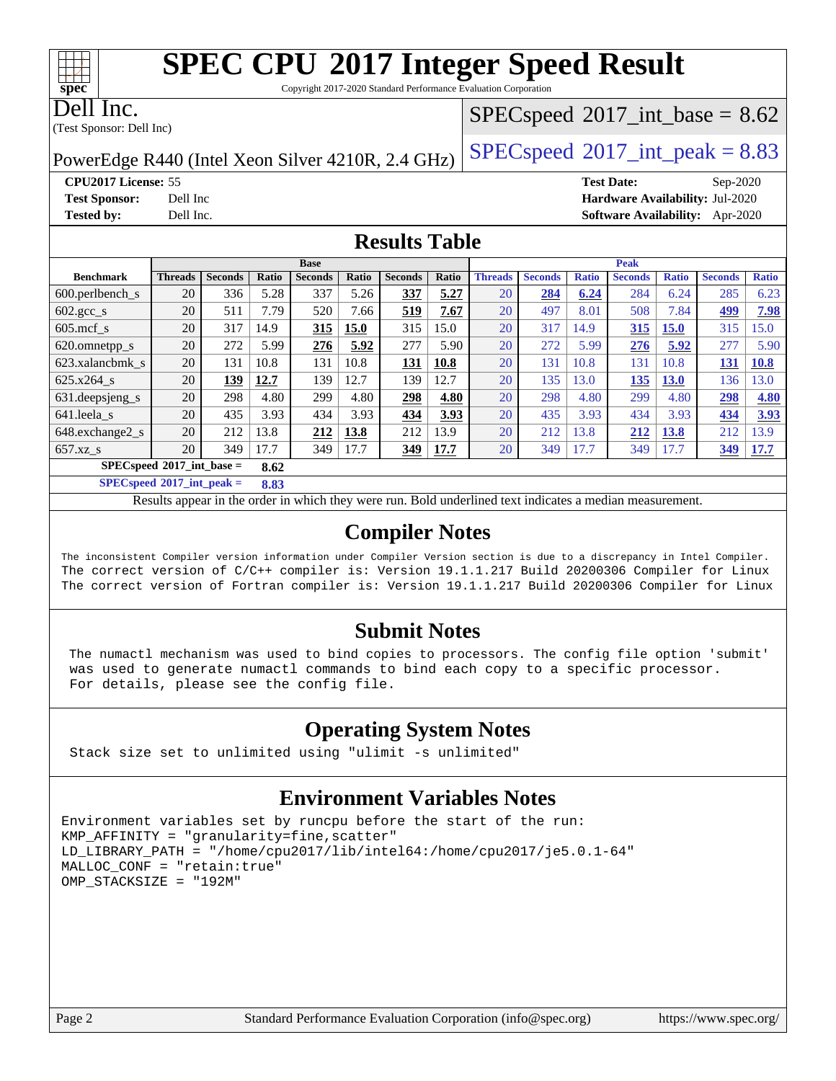Copyright 2017-2020 Standard Performance Evaluation Corporation

Dell Inc.

**[spec](http://www.spec.org/)**

(Test Sponsor: Dell Inc)

#### $SPECspeed^{\circledcirc}2017\_int\_base = 8.62$  $SPECspeed^{\circledcirc}2017\_int\_base = 8.62$

PowerEdge R440 (Intel Xeon Silver 4210R, 2.4 GHz)  $\left|$  [SPECspeed](http://www.spec.org/auto/cpu2017/Docs/result-fields.html#SPECspeed2017intpeak)®[2017\\_int\\_peak = 8](http://www.spec.org/auto/cpu2017/Docs/result-fields.html#SPECspeed2017intpeak).83

**[CPU2017 License:](http://www.spec.org/auto/cpu2017/Docs/result-fields.html#CPU2017License)** 55 **[Test Date:](http://www.spec.org/auto/cpu2017/Docs/result-fields.html#TestDate)** Sep-2020 **[Test Sponsor:](http://www.spec.org/auto/cpu2017/Docs/result-fields.html#TestSponsor)** Dell Inc **[Hardware Availability:](http://www.spec.org/auto/cpu2017/Docs/result-fields.html#HardwareAvailability)** Jul-2020 **[Tested by:](http://www.spec.org/auto/cpu2017/Docs/result-fields.html#Testedby)** Dell Inc. **[Software Availability:](http://www.spec.org/auto/cpu2017/Docs/result-fields.html#SoftwareAvailability)** Apr-2020

#### **[Results Table](http://www.spec.org/auto/cpu2017/Docs/result-fields.html#ResultsTable)**

|                                     | <b>Base</b>    |                |       |                |       | <b>Peak</b>    |       |                |                |              |                |              |                |              |
|-------------------------------------|----------------|----------------|-------|----------------|-------|----------------|-------|----------------|----------------|--------------|----------------|--------------|----------------|--------------|
| <b>Benchmark</b>                    | <b>Threads</b> | <b>Seconds</b> | Ratio | <b>Seconds</b> | Ratio | <b>Seconds</b> | Ratio | <b>Threads</b> | <b>Seconds</b> | <b>Ratio</b> | <b>Seconds</b> | <b>Ratio</b> | <b>Seconds</b> | <b>Ratio</b> |
| $600.$ perlbench $\mathsf{S}$       | 20             | 336            | 5.28  | 337            | 5.26  | 337            | 5.27  | 20             | 284            | 6.24         | 284            | 6.24         | 285            | 6.23         |
| $602.\text{gcc}\s$                  | 20             | 511            | 7.79  | 520            | 7.66  | 519            | 7.67  | 20             | 497            | 8.01         | 508            | 7.84         | 499            | 7.98         |
| $605 \text{.mcf}$ s                 | 20             | 317            | 14.9  | 315            | 15.0  | 315            | 15.0  | 20             | 317            | 14.9         | 315            | 15.0         | 315            | 15.0         |
| 620.omnetpp_s                       | 20             | 272            | 5.99  | 276            | 5.92  | 277            | 5.90  | 20             | 272            | 5.99         | 276            | 5.92         | 277            | 5.90         |
| 623.xalancbmk s                     | 20             | 131            | 10.8  | 131            | 10.8  | 131            | 10.8  | 20             | 131            | 10.8         | 131            | 10.8         | 131            | 10.8         |
| 625.x264 s                          | 20             | 139            | 12.7  | 139            | 12.7  | 139            | 12.7  | 20             | 135            | 13.0         | 135            | <b>13.0</b>  | 136            | 13.0         |
| 631.deepsjeng_s                     | 20             | 298            | 4.80  | 299            | 4.80  | 298            | 4.80  | 20             | 298            | 4.80         | 299            | 4.80         | 298            | 4.80         |
| 641.leela s                         | 20             | 435            | 3.93  | 434            | 3.93  | 434            | 3.93  | 20             | 435            | 3.93         | 434            | 3.93         | 434            | 3.93         |
| 648.exchange2_s                     | 20             | 212            | 13.8  | 212            | 13.8  | 212            | 13.9  | 20             | 212            | 13.8         | 212            | 13.8         | 212            | 3.9          |
| $657.xz$ <sub>_S</sub>              | 20             | 349            | 17.7  | 349            | 17.7  | 349            | 17.7  | 20             | 349            | 17.7         | 349            | 17.7         | 349            | 17.7         |
| $SPECspeed*2017$ int base =<br>8.62 |                |                |       |                |       |                |       |                |                |              |                |              |                |              |

**[SPECspeed](http://www.spec.org/auto/cpu2017/Docs/result-fields.html#SPECspeed2017intpeak)[2017\\_int\\_peak =](http://www.spec.org/auto/cpu2017/Docs/result-fields.html#SPECspeed2017intpeak) 8.83**

Results appear in the [order in which they were run.](http://www.spec.org/auto/cpu2017/Docs/result-fields.html#RunOrder) Bold underlined text [indicates a median measurement](http://www.spec.org/auto/cpu2017/Docs/result-fields.html#Median).

#### **[Compiler Notes](http://www.spec.org/auto/cpu2017/Docs/result-fields.html#CompilerNotes)**

The inconsistent Compiler version information under Compiler Version section is due to a discrepancy in Intel Compiler. The correct version of C/C++ compiler is: Version 19.1.1.217 Build 20200306 Compiler for Linux The correct version of Fortran compiler is: Version 19.1.1.217 Build 20200306 Compiler for Linux

#### **[Submit Notes](http://www.spec.org/auto/cpu2017/Docs/result-fields.html#SubmitNotes)**

 The numactl mechanism was used to bind copies to processors. The config file option 'submit' was used to generate numactl commands to bind each copy to a specific processor. For details, please see the config file.

#### **[Operating System Notes](http://www.spec.org/auto/cpu2017/Docs/result-fields.html#OperatingSystemNotes)**

Stack size set to unlimited using "ulimit -s unlimited"

### **[Environment Variables Notes](http://www.spec.org/auto/cpu2017/Docs/result-fields.html#EnvironmentVariablesNotes)**

```
Environment variables set by runcpu before the start of the run:
KMP_AFFINITY = "granularity=fine,scatter"
LD_LIBRARY_PATH = "/home/cpu2017/lib/intel64:/home/cpu2017/je5.0.1-64"
MALLOC_CONF = "retain:true"
OMP_STACKSIZE = "192M"
```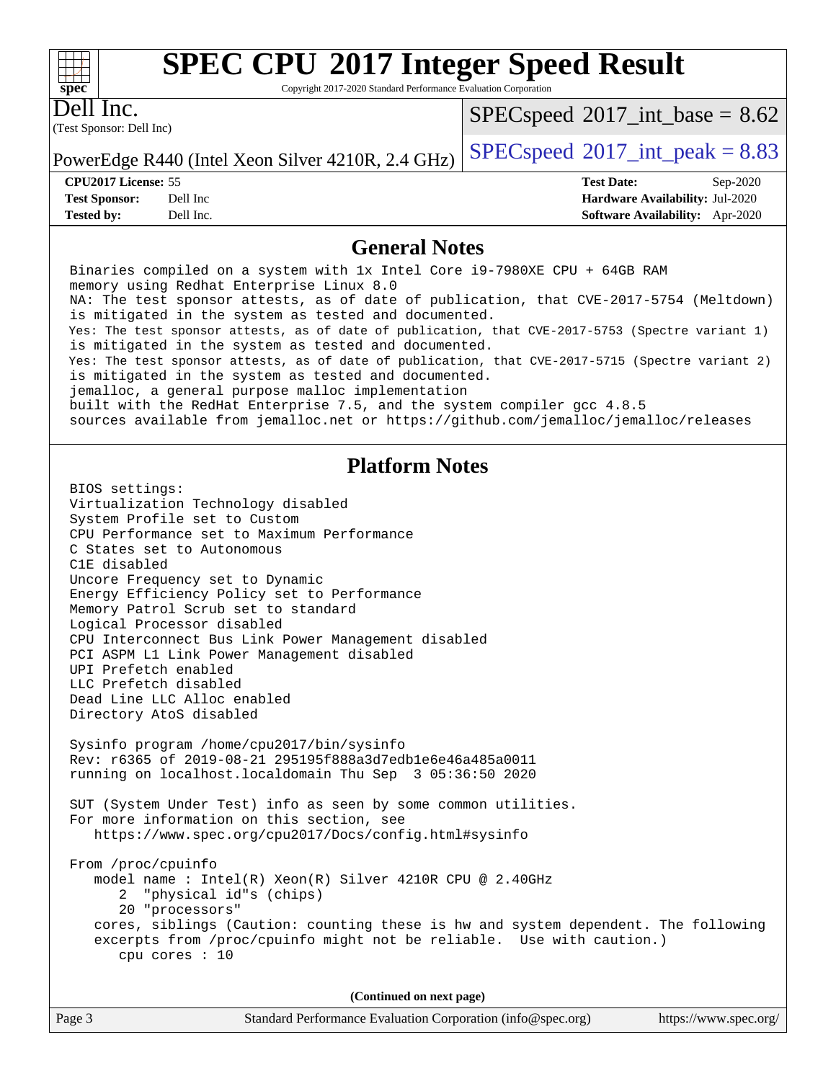Copyright 2017-2020 Standard Performance Evaluation Corporation

Dell Inc.

**[spec](http://www.spec.org/)**

 $+\hskip -1.5pt +\hskip -1.5pt +$ 

(Test Sponsor: Dell Inc)

 $SPECspeed^{\circ}2017\_int\_base = 8.62$  $SPECspeed^{\circ}2017\_int\_base = 8.62$ 

PowerEdge R440 (Intel Xeon Silver 4210R, 2.4 GHz)  $\left|$  [SPECspeed](http://www.spec.org/auto/cpu2017/Docs/result-fields.html#SPECspeed2017intpeak)<sup>®</sup>[2017\\_int\\_peak = 8](http://www.spec.org/auto/cpu2017/Docs/result-fields.html#SPECspeed2017intpeak).83

**[CPU2017 License:](http://www.spec.org/auto/cpu2017/Docs/result-fields.html#CPU2017License)** 55 **[Test Date:](http://www.spec.org/auto/cpu2017/Docs/result-fields.html#TestDate)** Sep-2020 **[Test Sponsor:](http://www.spec.org/auto/cpu2017/Docs/result-fields.html#TestSponsor)** Dell Inc **[Hardware Availability:](http://www.spec.org/auto/cpu2017/Docs/result-fields.html#HardwareAvailability)** Jul-2020 **[Tested by:](http://www.spec.org/auto/cpu2017/Docs/result-fields.html#Testedby)** Dell Inc. **[Software Availability:](http://www.spec.org/auto/cpu2017/Docs/result-fields.html#SoftwareAvailability)** Apr-2020

#### **[General Notes](http://www.spec.org/auto/cpu2017/Docs/result-fields.html#GeneralNotes)**

Page 3 Standard Performance Evaluation Corporation [\(info@spec.org\)](mailto:info@spec.org) <https://www.spec.org/> Binaries compiled on a system with 1x Intel Core i9-7980XE CPU + 64GB RAM memory using Redhat Enterprise Linux 8.0 NA: The test sponsor attests, as of date of publication, that CVE-2017-5754 (Meltdown) is mitigated in the system as tested and documented. Yes: The test sponsor attests, as of date of publication, that CVE-2017-5753 (Spectre variant 1) is mitigated in the system as tested and documented. Yes: The test sponsor attests, as of date of publication, that CVE-2017-5715 (Spectre variant 2) is mitigated in the system as tested and documented. jemalloc, a general purpose malloc implementation built with the RedHat Enterprise 7.5, and the system compiler gcc 4.8.5 sources available from jemalloc.net or<https://github.com/jemalloc/jemalloc/releases> **[Platform Notes](http://www.spec.org/auto/cpu2017/Docs/result-fields.html#PlatformNotes)** BIOS settings: Virtualization Technology disabled System Profile set to Custom CPU Performance set to Maximum Performance C States set to Autonomous C1E disabled Uncore Frequency set to Dynamic Energy Efficiency Policy set to Performance Memory Patrol Scrub set to standard Logical Processor disabled CPU Interconnect Bus Link Power Management disabled PCI ASPM L1 Link Power Management disabled UPI Prefetch enabled LLC Prefetch disabled Dead Line LLC Alloc enabled Directory AtoS disabled Sysinfo program /home/cpu2017/bin/sysinfo Rev: r6365 of 2019-08-21 295195f888a3d7edb1e6e46a485a0011 running on localhost.localdomain Thu Sep 3 05:36:50 2020 SUT (System Under Test) info as seen by some common utilities. For more information on this section, see <https://www.spec.org/cpu2017/Docs/config.html#sysinfo> From /proc/cpuinfo model name : Intel(R) Xeon(R) Silver 4210R CPU @ 2.40GHz 2 "physical id"s (chips) 20 "processors" cores, siblings (Caution: counting these is hw and system dependent. The following excerpts from /proc/cpuinfo might not be reliable. Use with caution.) cpu cores : 10 **(Continued on next page)**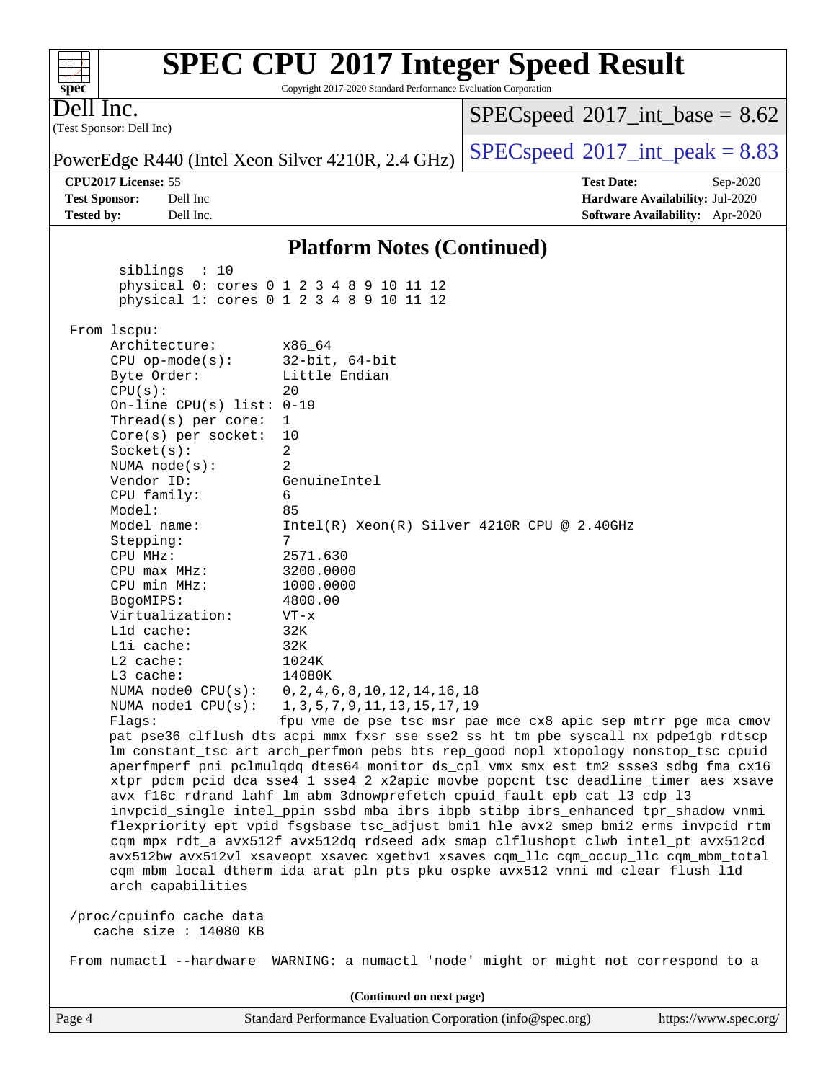#### **[spec](http://www.spec.org/) [SPEC CPU](http://www.spec.org/auto/cpu2017/Docs/result-fields.html#SPECCPU2017IntegerSpeedResult)[2017 Integer Speed Result](http://www.spec.org/auto/cpu2017/Docs/result-fields.html#SPECCPU2017IntegerSpeedResult)** Copyright 2017-2020 Standard Performance Evaluation Corporation (Test Sponsor: Dell Inc) Dell Inc. PowerEdge R440 (Intel Xeon Silver 4210R, 2.4 GHz)  $\left|$  [SPECspeed](http://www.spec.org/auto/cpu2017/Docs/result-fields.html#SPECspeed2017intpeak)<sup>®</sup>[2017\\_int\\_peak = 8](http://www.spec.org/auto/cpu2017/Docs/result-fields.html#SPECspeed2017intpeak).83  $SPECspeed^{\circ}2017\_int\_base = 8.62$  $SPECspeed^{\circ}2017\_int\_base = 8.62$ **[CPU2017 License:](http://www.spec.org/auto/cpu2017/Docs/result-fields.html#CPU2017License)** 55 **[Test Date:](http://www.spec.org/auto/cpu2017/Docs/result-fields.html#TestDate)** Sep-2020 **[Test Sponsor:](http://www.spec.org/auto/cpu2017/Docs/result-fields.html#TestSponsor)** Dell Inc **[Hardware Availability:](http://www.spec.org/auto/cpu2017/Docs/result-fields.html#HardwareAvailability)** Jul-2020 **[Tested by:](http://www.spec.org/auto/cpu2017/Docs/result-fields.html#Testedby)** Dell Inc. **[Software Availability:](http://www.spec.org/auto/cpu2017/Docs/result-fields.html#SoftwareAvailability)** Apr-2020 **[Platform Notes \(Continued\)](http://www.spec.org/auto/cpu2017/Docs/result-fields.html#PlatformNotes)** siblings : 10 physical 0: cores 0 1 2 3 4 8 9 10 11 12 physical 1: cores 0 1 2 3 4 8 9 10 11 12 From lscpu: Architecture: x86\_64<br>CPU op-mode(s): 32-bit, 64-bit CPU op-mode $(s)$ : Byte Order: Little Endian  $CPU(s):$  20 On-line CPU(s) list: 0-19 Thread(s) per core: 1 Core(s) per socket: 10 Socket(s): 2 NUMA node(s): 2 Vendor ID: GenuineIntel CPU family: 6 Model: 85 Model name: Intel(R) Xeon(R) Silver 4210R CPU @ 2.40GHz Stepping: 7 CPU MHz: 2571.630 CPU max MHz: 3200.0000 CPU min MHz: 1000.0000 BogoMIPS: 4800.00 Virtualization: VT-x L1d cache: 32K L1i cache: 32K L2 cache: 1024K L3 cache: 14080K NUMA node0 CPU(s): 0,2,4,6,8,10,12,14,16,18 NUMA node1 CPU(s): 1,3,5,7,9,11,13,15,17,19 Flags: fpu vme de pse tsc msr pae mce cx8 apic sep mtrr pge mca cmov pat pse36 clflush dts acpi mmx fxsr sse sse2 ss ht tm pbe syscall nx pdpe1gb rdtscp lm constant\_tsc art arch\_perfmon pebs bts rep\_good nopl xtopology nonstop\_tsc cpuid aperfmperf pni pclmulqdq dtes64 monitor ds\_cpl vmx smx est tm2 ssse3 sdbg fma cx16 xtpr pdcm pcid dca sse4\_1 sse4\_2 x2apic movbe popcnt tsc\_deadline\_timer aes xsave avx f16c rdrand lahf\_lm abm 3dnowprefetch cpuid\_fault epb cat\_l3 cdp\_l3 invpcid\_single intel\_ppin ssbd mba ibrs ibpb stibp ibrs\_enhanced tpr\_shadow vnmi flexpriority ept vpid fsgsbase tsc\_adjust bmi1 hle avx2 smep bmi2 erms invpcid rtm cqm mpx rdt\_a avx512f avx512dq rdseed adx smap clflushopt clwb intel\_pt avx512cd avx512bw avx512vl xsaveopt xsavec xgetbv1 xsaves cqm\_llc cqm\_occup\_llc cqm\_mbm\_total cqm\_mbm\_local dtherm ida arat pln pts pku ospke avx512\_vnni md\_clear flush\_l1d arch\_capabilities /proc/cpuinfo cache data cache size : 14080 KB From numactl --hardware WARNING: a numactl 'node' might or might not correspond to a **(Continued on next page)**

 $+\!\!+\!\!$ 

Page 4 Standard Performance Evaluation Corporation [\(info@spec.org\)](mailto:info@spec.org) <https://www.spec.org/>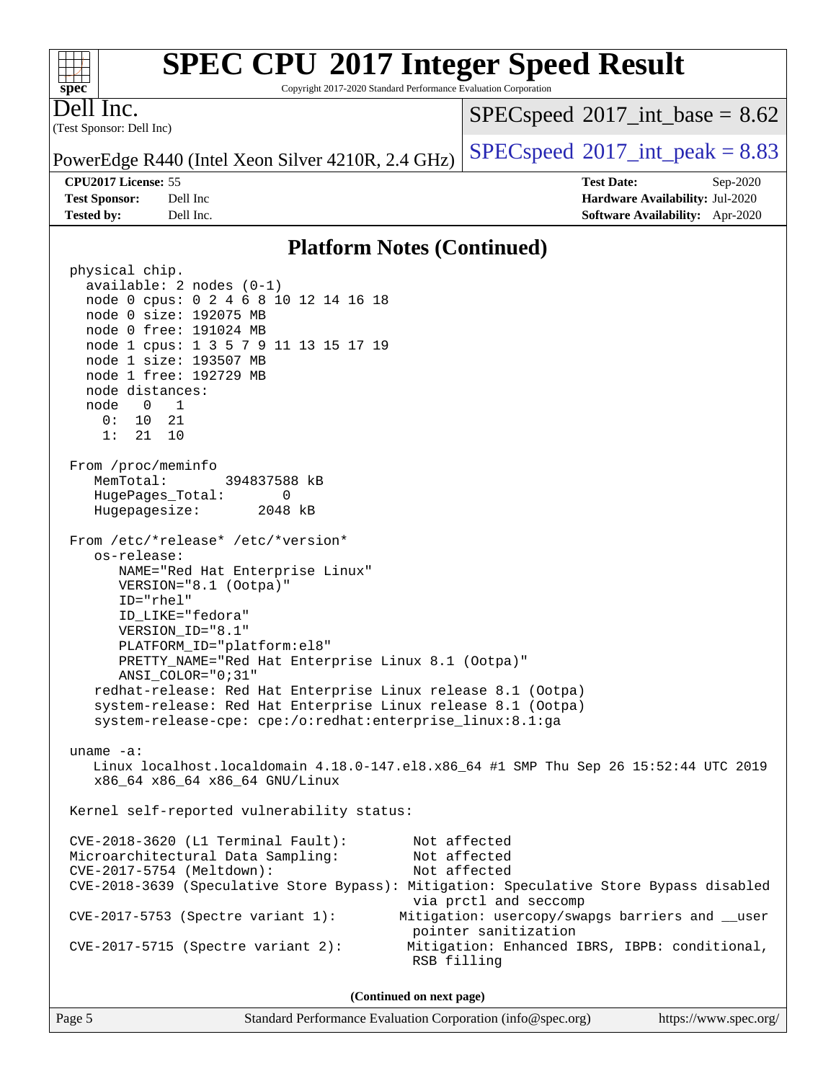Copyright 2017-2020 Standard Performance Evaluation Corporation

(Test Sponsor: Dell Inc) Dell Inc.

**[spec](http://www.spec.org/)**

 $+\ +$ 

 $SPECspeed^{\circ}2017\_int\_base = 8.62$  $SPECspeed^{\circ}2017\_int\_base = 8.62$ 

PowerEdge R440 (Intel Xeon Silver 4210R, 2.4 GHz)  $\left|$  [SPECspeed](http://www.spec.org/auto/cpu2017/Docs/result-fields.html#SPECspeed2017intpeak)®[2017\\_int\\_peak = 8](http://www.spec.org/auto/cpu2017/Docs/result-fields.html#SPECspeed2017intpeak).83

**[CPU2017 License:](http://www.spec.org/auto/cpu2017/Docs/result-fields.html#CPU2017License)** 55 **[Test Date:](http://www.spec.org/auto/cpu2017/Docs/result-fields.html#TestDate)** Sep-2020 **[Test Sponsor:](http://www.spec.org/auto/cpu2017/Docs/result-fields.html#TestSponsor)** Dell Inc **[Hardware Availability:](http://www.spec.org/auto/cpu2017/Docs/result-fields.html#HardwareAvailability)** Jul-2020 **[Tested by:](http://www.spec.org/auto/cpu2017/Docs/result-fields.html#Testedby)** Dell Inc. **[Software Availability:](http://www.spec.org/auto/cpu2017/Docs/result-fields.html#SoftwareAvailability)** Apr-2020

#### **[Platform Notes \(Continued\)](http://www.spec.org/auto/cpu2017/Docs/result-fields.html#PlatformNotes)**

 physical chip. available: 2 nodes (0-1) node 0 cpus: 0 2 4 6 8 10 12 14 16 18 node 0 size: 192075 MB node 0 free: 191024 MB node 1 cpus: 1 3 5 7 9 11 13 15 17 19 node 1 size: 193507 MB node 1 free: 192729 MB node distances: node 0 1 0: 10 21 1: 21 10 From /proc/meminfo MemTotal: 394837588 kB HugePages\_Total: 0 Hugepagesize: 2048 kB From /etc/\*release\* /etc/\*version\* os-release: NAME="Red Hat Enterprise Linux" VERSION="8.1 (Ootpa)" ID="rhel" ID\_LIKE="fedora" VERSION\_ID="8.1" PLATFORM\_ID="platform:el8" PRETTY\_NAME="Red Hat Enterprise Linux 8.1 (Ootpa)" ANSI\_COLOR="0;31" redhat-release: Red Hat Enterprise Linux release 8.1 (Ootpa) system-release: Red Hat Enterprise Linux release 8.1 (Ootpa) system-release-cpe: cpe:/o:redhat:enterprise\_linux:8.1:ga uname -a: Linux localhost.localdomain 4.18.0-147.el8.x86\_64 #1 SMP Thu Sep 26 15:52:44 UTC 2019 x86\_64 x86\_64 x86\_64 GNU/Linux Kernel self-reported vulnerability status: CVE-2018-3620 (L1 Terminal Fault): Not affected Microarchitectural Data Sampling: Not affected CVE-2017-5754 (Meltdown): Not affected CVE-2018-3639 (Speculative Store Bypass): Mitigation: Speculative Store Bypass disabled via prctl and seccomp CVE-2017-5753 (Spectre variant 1): Mitigation: usercopy/swapgs barriers and \_\_user pointer sanitization CVE-2017-5715 (Spectre variant 2): Mitigation: Enhanced IBRS, IBPB: conditional, RSB filling **(Continued on next page)**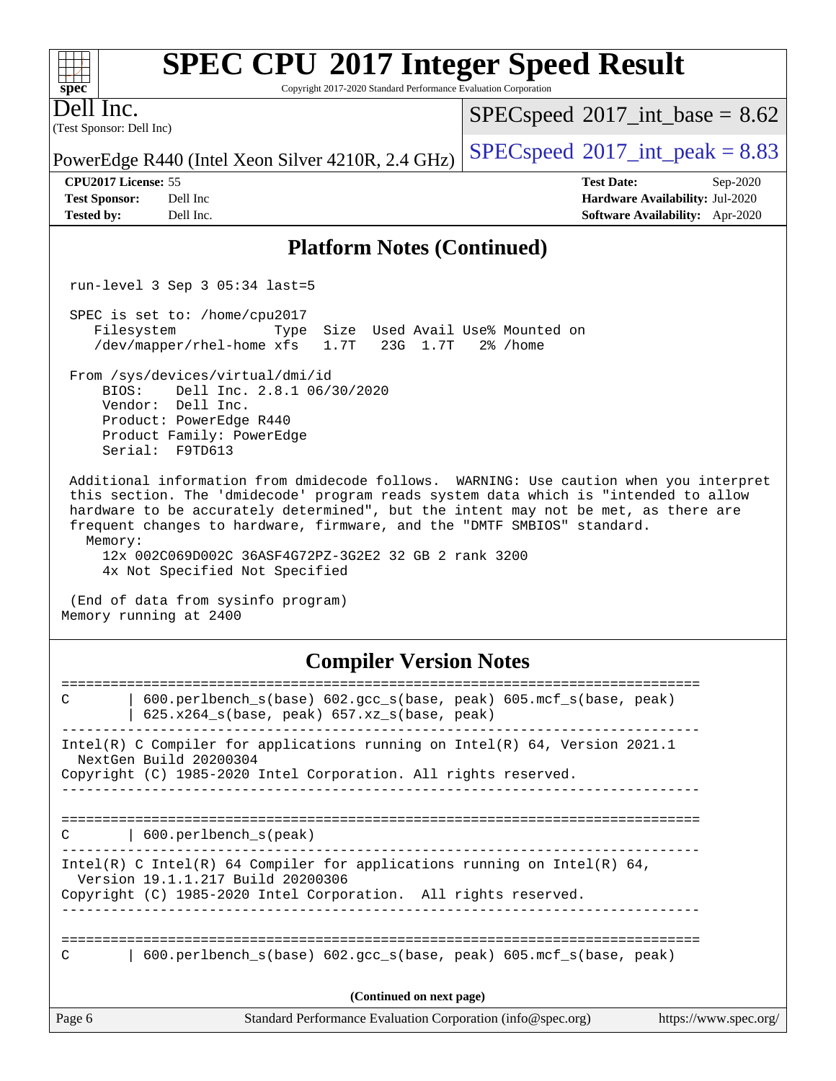Copyright 2017-2020 Standard Performance Evaluation Corporation

(Test Sponsor: Dell Inc) Dell Inc.

**[spec](http://www.spec.org/)**

 $+\ +$ 

 $SPECspeed^{\circ}2017\_int\_base = 8.62$  $SPECspeed^{\circ}2017\_int\_base = 8.62$ 

**[CPU2017 License:](http://www.spec.org/auto/cpu2017/Docs/result-fields.html#CPU2017License)** 55 **[Test Date:](http://www.spec.org/auto/cpu2017/Docs/result-fields.html#TestDate)** Sep-2020

PowerEdge R440 (Intel Xeon Silver 4210R, 2.4 GHz)  $\left|$  [SPECspeed](http://www.spec.org/auto/cpu2017/Docs/result-fields.html#SPECspeed2017intpeak)<sup>®</sup>[2017\\_int\\_peak = 8](http://www.spec.org/auto/cpu2017/Docs/result-fields.html#SPECspeed2017intpeak).83

**[Test Sponsor:](http://www.spec.org/auto/cpu2017/Docs/result-fields.html#TestSponsor)** Dell Inc **[Hardware Availability:](http://www.spec.org/auto/cpu2017/Docs/result-fields.html#HardwareAvailability)** Jul-2020 **[Tested by:](http://www.spec.org/auto/cpu2017/Docs/result-fields.html#Testedby)** Dell Inc. **[Software Availability:](http://www.spec.org/auto/cpu2017/Docs/result-fields.html#SoftwareAvailability)** Apr-2020

#### **[Platform Notes \(Continued\)](http://www.spec.org/auto/cpu2017/Docs/result-fields.html#PlatformNotes)**

run-level 3 Sep 3 05:34 last=5

 SPEC is set to: /home/cpu2017 Filesystem Type Size Used Avail Use% Mounted on /dev/mapper/rhel-home xfs 1.7T 23G 1.7T 2% /home

 From /sys/devices/virtual/dmi/id BIOS: Dell Inc. 2.8.1 06/30/2020

 Vendor: Dell Inc. Product: PowerEdge R440 Product Family: PowerEdge Serial: F9TD613

 Additional information from dmidecode follows. WARNING: Use caution when you interpret this section. The 'dmidecode' program reads system data which is "intended to allow hardware to be accurately determined", but the intent may not be met, as there are frequent changes to hardware, firmware, and the "DMTF SMBIOS" standard. Memory:

 12x 002C069D002C 36ASF4G72PZ-3G2E2 32 GB 2 rank 3200 4x Not Specified Not Specified

 (End of data from sysinfo program) Memory running at 2400

### **[Compiler Version Notes](http://www.spec.org/auto/cpu2017/Docs/result-fields.html#CompilerVersionNotes)**

| $600. perlbench_s(base) 602. gcc_s(base, peak) 605. mcf_s(base, peak)$<br>C<br>$625.x264_s(base, peak)$ 657.xz <sub>_S</sub> (base, peak)                                        |
|----------------------------------------------------------------------------------------------------------------------------------------------------------------------------------|
| Intel(R) C Compiler for applications running on Intel(R) 64, Version 2021.1<br>NextGen Build 20200304<br>Copyright (C) 1985-2020 Intel Corporation. All rights reserved.         |
| 600.perlbench_s(peak)<br>C                                                                                                                                                       |
| Intel(R) C Intel(R) 64 Compiler for applications running on Intel(R) 64,<br>Version 19.1.1.217 Build 20200306<br>Copyright (C) 1985-2020 Intel Corporation. All rights reserved. |
| $600.$ perlbench $s(base) 602.$ qcc $s(base, peak) 605.$ mcf $s(base, peak)$<br>C                                                                                                |
| (Continued on next page)                                                                                                                                                         |
| Page 6<br>Standard Performance Evaluation Corporation (info@spec.org)<br>https://www.spec.org/                                                                                   |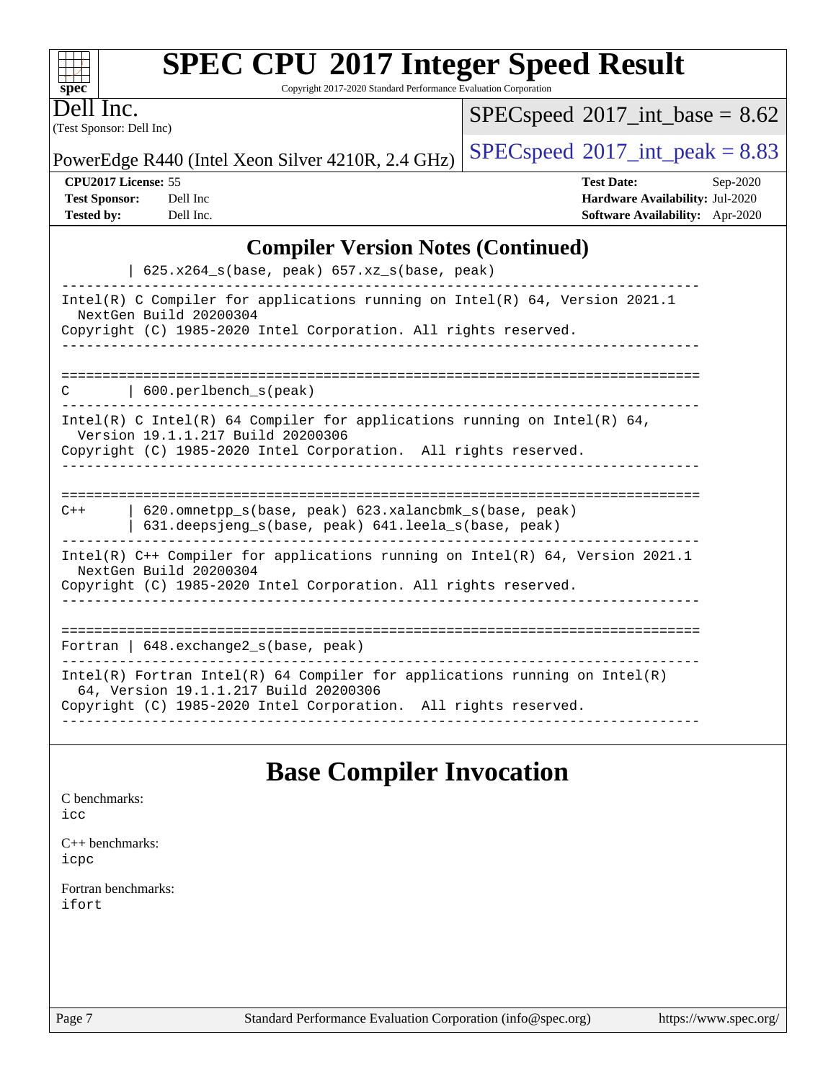| <b>SPEC CPU®2017 Integer Speed Result</b> |  |  |  |
|-------------------------------------------|--|--|--|
|-------------------------------------------|--|--|--|

Copyright 2017-2020 Standard Performance Evaluation Corporation

(Test Sponsor: Dell Inc) Dell Inc.

**[spec](http://www.spec.org/)**

 $^{+++}$ 

 $SPEC speed$ <sup>®</sup>[2017\\_int\\_base =](http://www.spec.org/auto/cpu2017/Docs/result-fields.html#SPECspeed2017intbase) 8.62

PowerEdge R440 (Intel Xeon Silver 4210R, 2.4 GHz)  $\left|$  [SPECspeed](http://www.spec.org/auto/cpu2017/Docs/result-fields.html#SPECspeed2017intpeak)<sup>®</sup>[2017\\_int\\_peak = 8](http://www.spec.org/auto/cpu2017/Docs/result-fields.html#SPECspeed2017intpeak).83

**[CPU2017 License:](http://www.spec.org/auto/cpu2017/Docs/result-fields.html#CPU2017License)** 55 **[Test Date:](http://www.spec.org/auto/cpu2017/Docs/result-fields.html#TestDate)** Sep-2020 **[Test Sponsor:](http://www.spec.org/auto/cpu2017/Docs/result-fields.html#TestSponsor)** Dell Inc **[Hardware Availability:](http://www.spec.org/auto/cpu2017/Docs/result-fields.html#HardwareAvailability)** Jul-2020 **[Tested by:](http://www.spec.org/auto/cpu2017/Docs/result-fields.html#Testedby)** Dell Inc. **[Software Availability:](http://www.spec.org/auto/cpu2017/Docs/result-fields.html#SoftwareAvailability)** Apr-2020

### **[Compiler Version Notes \(Continued\)](http://www.spec.org/auto/cpu2017/Docs/result-fields.html#CompilerVersionNotes)**

| $625.x264_s(base, peak)$ 657.xz <sub>_S</sub> (base, peak)                                                                                                                             |  |  |  |  |
|----------------------------------------------------------------------------------------------------------------------------------------------------------------------------------------|--|--|--|--|
| Intel(R) C Compiler for applications running on Intel(R) 64, Version 2021.1<br>NextGen Build 20200304<br>Copyright (C) 1985-2020 Intel Corporation. All rights reserved.               |  |  |  |  |
| $\vert$ 600. perlbench s(peak)<br>C                                                                                                                                                    |  |  |  |  |
| Intel(R) C Intel(R) 64 Compiler for applications running on Intel(R) 64,<br>Version 19.1.1.217 Build 20200306<br>Copyright (C) 1985-2020 Intel Corporation. All rights reserved.       |  |  |  |  |
|                                                                                                                                                                                        |  |  |  |  |
| 620.omnetpp s(base, peak) 623.xalancbmk s(base, peak)<br>$C++$<br>631.deepsjeng_s(base, peak) 641.leela_s(base, peak)                                                                  |  |  |  |  |
| Intel(R) $C++$ Compiler for applications running on Intel(R) 64, Version 2021.1<br>NextGen Build 20200304<br>Copyright (C) 1985-2020 Intel Corporation. All rights reserved.           |  |  |  |  |
| -------------------------------------<br>Fortran   648. exchange 2_s (base, peak)                                                                                                      |  |  |  |  |
| Intel(R) Fortran Intel(R) 64 Compiler for applications running on Intel(R)<br>64, Version 19.1.1.217 Build 20200306<br>Copyright (C) 1985-2020 Intel Corporation. All rights reserved. |  |  |  |  |

## **[Base Compiler Invocation](http://www.spec.org/auto/cpu2017/Docs/result-fields.html#BaseCompilerInvocation)**

| C benchmarks:<br>icc         |  |  |
|------------------------------|--|--|
| $C++$ benchmarks:<br>icpc    |  |  |
| Fortran benchmarks:<br>ifort |  |  |
|                              |  |  |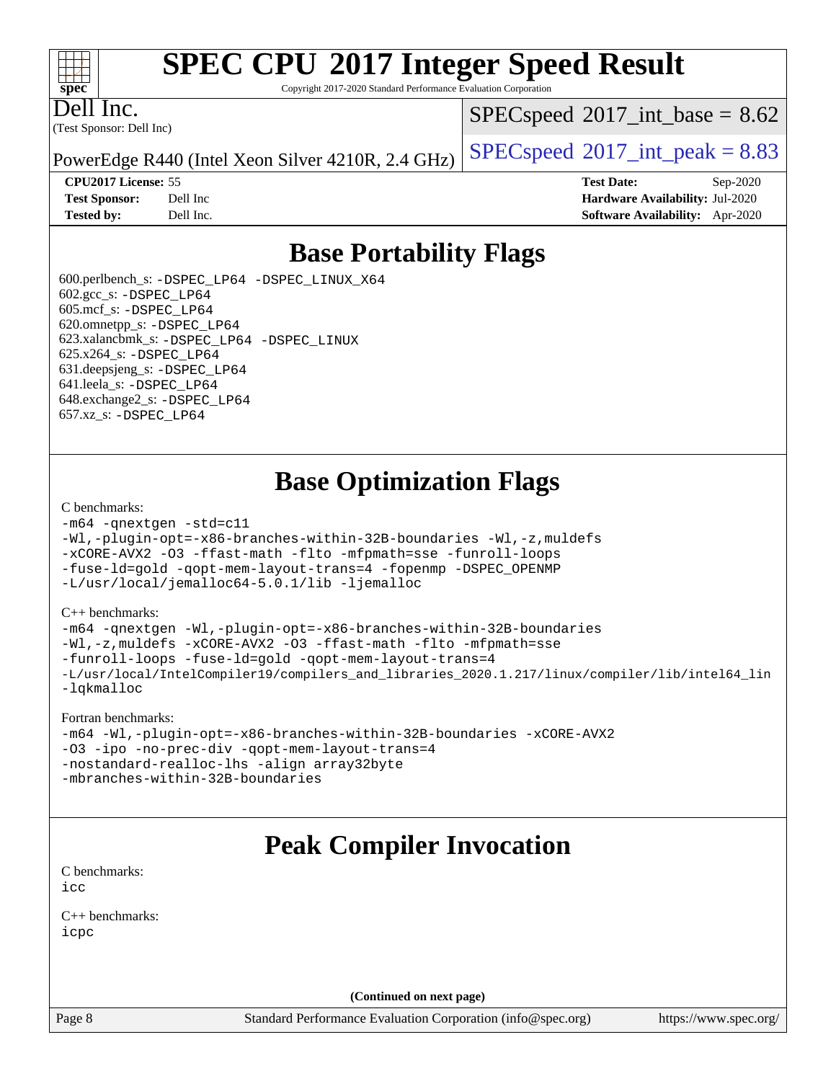#### $+\ +$ **[spec](http://www.spec.org/)**

# **[SPEC CPU](http://www.spec.org/auto/cpu2017/Docs/result-fields.html#SPECCPU2017IntegerSpeedResult)[2017 Integer Speed Result](http://www.spec.org/auto/cpu2017/Docs/result-fields.html#SPECCPU2017IntegerSpeedResult)**

Copyright 2017-2020 Standard Performance Evaluation Corporation

(Test Sponsor: Dell Inc) Dell Inc.

 $SPECspeed^{\circ}2017\_int\_base = 8.62$  $SPECspeed^{\circ}2017\_int\_base = 8.62$ 

PowerEdge R440 (Intel Xeon Silver 4210R, 2.4 GHz)  $\left|$  [SPECspeed](http://www.spec.org/auto/cpu2017/Docs/result-fields.html#SPECspeed2017intpeak)<sup>®</sup>[2017\\_int\\_peak = 8](http://www.spec.org/auto/cpu2017/Docs/result-fields.html#SPECspeed2017intpeak).83

**[CPU2017 License:](http://www.spec.org/auto/cpu2017/Docs/result-fields.html#CPU2017License)** 55 **[Test Date:](http://www.spec.org/auto/cpu2017/Docs/result-fields.html#TestDate)** Sep-2020 **[Test Sponsor:](http://www.spec.org/auto/cpu2017/Docs/result-fields.html#TestSponsor)** Dell Inc **[Hardware Availability:](http://www.spec.org/auto/cpu2017/Docs/result-fields.html#HardwareAvailability)** Jul-2020 **[Tested by:](http://www.spec.org/auto/cpu2017/Docs/result-fields.html#Testedby)** Dell Inc. **[Software Availability:](http://www.spec.org/auto/cpu2017/Docs/result-fields.html#SoftwareAvailability)** Apr-2020

## **[Base Portability Flags](http://www.spec.org/auto/cpu2017/Docs/result-fields.html#BasePortabilityFlags)**

 600.perlbench\_s: [-DSPEC\\_LP64](http://www.spec.org/cpu2017/results/res2020q4/cpu2017-20200928-24072.flags.html#b600.perlbench_s_basePORTABILITY_DSPEC_LP64) [-DSPEC\\_LINUX\\_X64](http://www.spec.org/cpu2017/results/res2020q4/cpu2017-20200928-24072.flags.html#b600.perlbench_s_baseCPORTABILITY_DSPEC_LINUX_X64) 602.gcc\_s: [-DSPEC\\_LP64](http://www.spec.org/cpu2017/results/res2020q4/cpu2017-20200928-24072.flags.html#suite_basePORTABILITY602_gcc_s_DSPEC_LP64) 605.mcf\_s: [-DSPEC\\_LP64](http://www.spec.org/cpu2017/results/res2020q4/cpu2017-20200928-24072.flags.html#suite_basePORTABILITY605_mcf_s_DSPEC_LP64) 620.omnetpp\_s: [-DSPEC\\_LP64](http://www.spec.org/cpu2017/results/res2020q4/cpu2017-20200928-24072.flags.html#suite_basePORTABILITY620_omnetpp_s_DSPEC_LP64) 623.xalancbmk\_s: [-DSPEC\\_LP64](http://www.spec.org/cpu2017/results/res2020q4/cpu2017-20200928-24072.flags.html#suite_basePORTABILITY623_xalancbmk_s_DSPEC_LP64) [-DSPEC\\_LINUX](http://www.spec.org/cpu2017/results/res2020q4/cpu2017-20200928-24072.flags.html#b623.xalancbmk_s_baseCXXPORTABILITY_DSPEC_LINUX) 625.x264\_s: [-DSPEC\\_LP64](http://www.spec.org/cpu2017/results/res2020q4/cpu2017-20200928-24072.flags.html#suite_basePORTABILITY625_x264_s_DSPEC_LP64) 631.deepsjeng\_s: [-DSPEC\\_LP64](http://www.spec.org/cpu2017/results/res2020q4/cpu2017-20200928-24072.flags.html#suite_basePORTABILITY631_deepsjeng_s_DSPEC_LP64) 641.leela\_s: [-DSPEC\\_LP64](http://www.spec.org/cpu2017/results/res2020q4/cpu2017-20200928-24072.flags.html#suite_basePORTABILITY641_leela_s_DSPEC_LP64) 648.exchange2\_s: [-DSPEC\\_LP64](http://www.spec.org/cpu2017/results/res2020q4/cpu2017-20200928-24072.flags.html#suite_basePORTABILITY648_exchange2_s_DSPEC_LP64) 657.xz\_s: [-DSPEC\\_LP64](http://www.spec.org/cpu2017/results/res2020q4/cpu2017-20200928-24072.flags.html#suite_basePORTABILITY657_xz_s_DSPEC_LP64)

## **[Base Optimization Flags](http://www.spec.org/auto/cpu2017/Docs/result-fields.html#BaseOptimizationFlags)**

#### [C benchmarks](http://www.spec.org/auto/cpu2017/Docs/result-fields.html#Cbenchmarks):

```
-m64 -qnextgen -std=c11
-Wl,-plugin-opt=-x86-branches-within-32B-boundaries -Wl,-z,muldefs
-xCORE-AVX2 -O3 -ffast-math -flto -mfpmath=sse -funroll-loops
-fuse-ld=gold -qopt-mem-layout-trans=4 -fopenmp -DSPEC_OPENMP
-L/usr/local/jemalloc64-5.0.1/lib -ljemalloc
```
#### [C++ benchmarks:](http://www.spec.org/auto/cpu2017/Docs/result-fields.html#CXXbenchmarks)

```
-m64 -qnextgen -Wl,-plugin-opt=-x86-branches-within-32B-boundaries
-Wl,-z,muldefs -xCORE-AVX2 -O3 -ffast-math -flto -mfpmath=sse
-funroll-loops -fuse-ld=gold -qopt-mem-layout-trans=4
-L/usr/local/IntelCompiler19/compilers_and_libraries_2020.1.217/linux/compiler/lib/intel64_lin
-lqkmalloc
```
#### [Fortran benchmarks:](http://www.spec.org/auto/cpu2017/Docs/result-fields.html#Fortranbenchmarks)

```
-m64 -Wl,-plugin-opt=-x86-branches-within-32B-boundaries -xCORE-AVX2
-O3 -ipo -no-prec-div -qopt-mem-layout-trans=4
-nostandard-realloc-lhs -align array32byte
-mbranches-within-32B-boundaries
```
## **[Peak Compiler Invocation](http://www.spec.org/auto/cpu2017/Docs/result-fields.html#PeakCompilerInvocation)**

[C benchmarks](http://www.spec.org/auto/cpu2017/Docs/result-fields.html#Cbenchmarks): [icc](http://www.spec.org/cpu2017/results/res2020q4/cpu2017-20200928-24072.flags.html#user_CCpeak_intel_icc_66fc1ee009f7361af1fbd72ca7dcefbb700085f36577c54f309893dd4ec40d12360134090235512931783d35fd58c0460139e722d5067c5574d8eaf2b3e37e92)

[C++ benchmarks:](http://www.spec.org/auto/cpu2017/Docs/result-fields.html#CXXbenchmarks) [icpc](http://www.spec.org/cpu2017/results/res2020q4/cpu2017-20200928-24072.flags.html#user_CXXpeak_intel_icpc_c510b6838c7f56d33e37e94d029a35b4a7bccf4766a728ee175e80a419847e808290a9b78be685c44ab727ea267ec2f070ec5dc83b407c0218cded6866a35d07)

**(Continued on next page)**

Page 8 Standard Performance Evaluation Corporation [\(info@spec.org\)](mailto:info@spec.org) <https://www.spec.org/>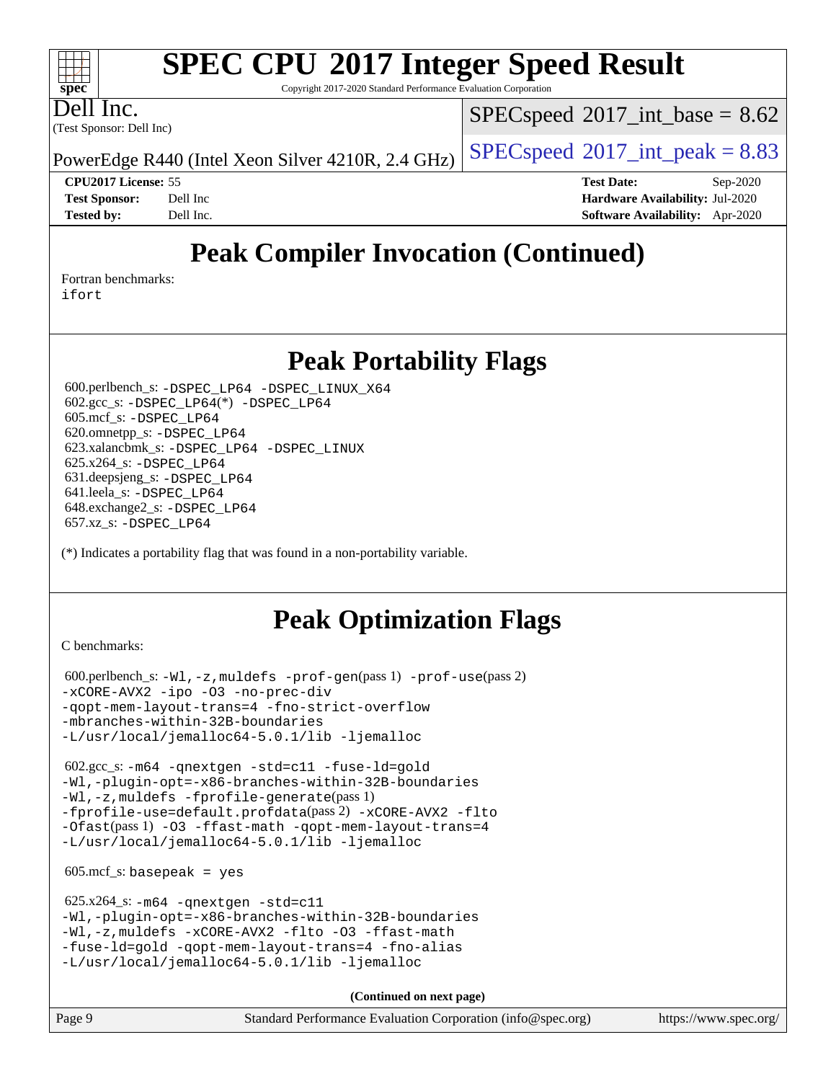Copyright 2017-2020 Standard Performance Evaluation Corporation

Dell Inc.

**[spec](http://www.spec.org/)**

 $+\ +$ 

(Test Sponsor: Dell Inc)

 $SPECspeed^{\circ}2017\_int\_base = 8.62$  $SPECspeed^{\circ}2017\_int\_base = 8.62$ 

PowerEdge R440 (Intel Xeon Silver 4210R, 2.4 GHz)  $\left|$  [SPECspeed](http://www.spec.org/auto/cpu2017/Docs/result-fields.html#SPECspeed2017intpeak)<sup>®</sup>[2017\\_int\\_peak = 8](http://www.spec.org/auto/cpu2017/Docs/result-fields.html#SPECspeed2017intpeak).83

**[CPU2017 License:](http://www.spec.org/auto/cpu2017/Docs/result-fields.html#CPU2017License)** 55 **[Test Date:](http://www.spec.org/auto/cpu2017/Docs/result-fields.html#TestDate)** Sep-2020 **[Test Sponsor:](http://www.spec.org/auto/cpu2017/Docs/result-fields.html#TestSponsor)** Dell Inc **[Hardware Availability:](http://www.spec.org/auto/cpu2017/Docs/result-fields.html#HardwareAvailability)** Jul-2020 **[Tested by:](http://www.spec.org/auto/cpu2017/Docs/result-fields.html#Testedby)** Dell Inc. **[Software Availability:](http://www.spec.org/auto/cpu2017/Docs/result-fields.html#SoftwareAvailability)** Apr-2020

## **[Peak Compiler Invocation \(Continued\)](http://www.spec.org/auto/cpu2017/Docs/result-fields.html#PeakCompilerInvocation)**

[Fortran benchmarks](http://www.spec.org/auto/cpu2017/Docs/result-fields.html#Fortranbenchmarks):

[ifort](http://www.spec.org/cpu2017/results/res2020q4/cpu2017-20200928-24072.flags.html#user_FCpeak_intel_ifort_8111460550e3ca792625aed983ce982f94888b8b503583aa7ba2b8303487b4d8a21a13e7191a45c5fd58ff318f48f9492884d4413fa793fd88dd292cad7027ca)

## **[Peak Portability Flags](http://www.spec.org/auto/cpu2017/Docs/result-fields.html#PeakPortabilityFlags)**

 600.perlbench\_s: [-DSPEC\\_LP64](http://www.spec.org/cpu2017/results/res2020q4/cpu2017-20200928-24072.flags.html#b600.perlbench_s_peakPORTABILITY_DSPEC_LP64) [-DSPEC\\_LINUX\\_X64](http://www.spec.org/cpu2017/results/res2020q4/cpu2017-20200928-24072.flags.html#b600.perlbench_s_peakCPORTABILITY_DSPEC_LINUX_X64) 602.gcc\_s: [-DSPEC\\_LP64](http://www.spec.org/cpu2017/results/res2020q4/cpu2017-20200928-24072.flags.html#suite_peakCCLD602_gcc_s_DSPEC_LP64)(\*) [-DSPEC\\_LP64](http://www.spec.org/cpu2017/results/res2020q4/cpu2017-20200928-24072.flags.html#suite_peakPORTABILITY602_gcc_s_DSPEC_LP64) 605.mcf\_s: [-DSPEC\\_LP64](http://www.spec.org/cpu2017/results/res2020q4/cpu2017-20200928-24072.flags.html#suite_peakPORTABILITY605_mcf_s_DSPEC_LP64) 620.omnetpp\_s: [-DSPEC\\_LP64](http://www.spec.org/cpu2017/results/res2020q4/cpu2017-20200928-24072.flags.html#suite_peakPORTABILITY620_omnetpp_s_DSPEC_LP64) 623.xalancbmk\_s: [-DSPEC\\_LP64](http://www.spec.org/cpu2017/results/res2020q4/cpu2017-20200928-24072.flags.html#suite_peakPORTABILITY623_xalancbmk_s_DSPEC_LP64) [-DSPEC\\_LINUX](http://www.spec.org/cpu2017/results/res2020q4/cpu2017-20200928-24072.flags.html#b623.xalancbmk_s_peakCXXPORTABILITY_DSPEC_LINUX) 625.x264\_s: [-DSPEC\\_LP64](http://www.spec.org/cpu2017/results/res2020q4/cpu2017-20200928-24072.flags.html#suite_peakPORTABILITY625_x264_s_DSPEC_LP64) 631.deepsjeng\_s: [-DSPEC\\_LP64](http://www.spec.org/cpu2017/results/res2020q4/cpu2017-20200928-24072.flags.html#suite_peakPORTABILITY631_deepsjeng_s_DSPEC_LP64) 641.leela\_s: [-DSPEC\\_LP64](http://www.spec.org/cpu2017/results/res2020q4/cpu2017-20200928-24072.flags.html#suite_peakPORTABILITY641_leela_s_DSPEC_LP64) 648.exchange2\_s: [-DSPEC\\_LP64](http://www.spec.org/cpu2017/results/res2020q4/cpu2017-20200928-24072.flags.html#suite_peakPORTABILITY648_exchange2_s_DSPEC_LP64) 657.xz\_s: [-DSPEC\\_LP64](http://www.spec.org/cpu2017/results/res2020q4/cpu2017-20200928-24072.flags.html#suite_peakPORTABILITY657_xz_s_DSPEC_LP64)

(\*) Indicates a portability flag that was found in a non-portability variable.

## **[Peak Optimization Flags](http://www.spec.org/auto/cpu2017/Docs/result-fields.html#PeakOptimizationFlags)**

[C benchmarks](http://www.spec.org/auto/cpu2017/Docs/result-fields.html#Cbenchmarks):

 600.perlbench\_s: [-Wl,-z,muldefs](http://www.spec.org/cpu2017/results/res2020q4/cpu2017-20200928-24072.flags.html#user_peakEXTRA_LDFLAGS600_perlbench_s_link_force_multiple1_b4cbdb97b34bdee9ceefcfe54f4c8ea74255f0b02a4b23e853cdb0e18eb4525ac79b5a88067c842dd0ee6996c24547a27a4b99331201badda8798ef8a743f577) [-prof-gen](http://www.spec.org/cpu2017/results/res2020q4/cpu2017-20200928-24072.flags.html#user_peakPASS1_CFLAGSPASS1_LDFLAGS600_perlbench_s_prof_gen_5aa4926d6013ddb2a31985c654b3eb18169fc0c6952a63635c234f711e6e63dd76e94ad52365559451ec499a2cdb89e4dc58ba4c67ef54ca681ffbe1461d6b36)(pass 1) [-prof-use](http://www.spec.org/cpu2017/results/res2020q4/cpu2017-20200928-24072.flags.html#user_peakPASS2_CFLAGSPASS2_LDFLAGS600_perlbench_s_prof_use_1a21ceae95f36a2b53c25747139a6c16ca95bd9def2a207b4f0849963b97e94f5260e30a0c64f4bb623698870e679ca08317ef8150905d41bd88c6f78df73f19)(pass 2) [-xCORE-AVX2](http://www.spec.org/cpu2017/results/res2020q4/cpu2017-20200928-24072.flags.html#user_peakCOPTIMIZE600_perlbench_s_f-xCORE-AVX2) [-ipo](http://www.spec.org/cpu2017/results/res2020q4/cpu2017-20200928-24072.flags.html#user_peakCOPTIMIZE600_perlbench_s_f-ipo) [-O3](http://www.spec.org/cpu2017/results/res2020q4/cpu2017-20200928-24072.flags.html#user_peakCOPTIMIZE600_perlbench_s_f-O3) [-no-prec-div](http://www.spec.org/cpu2017/results/res2020q4/cpu2017-20200928-24072.flags.html#user_peakCOPTIMIZE600_perlbench_s_f-no-prec-div) [-qopt-mem-layout-trans=4](http://www.spec.org/cpu2017/results/res2020q4/cpu2017-20200928-24072.flags.html#user_peakCOPTIMIZE600_perlbench_s_f-qopt-mem-layout-trans_fa39e755916c150a61361b7846f310bcdf6f04e385ef281cadf3647acec3f0ae266d1a1d22d972a7087a248fd4e6ca390a3634700869573d231a252c784941a8) [-fno-strict-overflow](http://www.spec.org/cpu2017/results/res2020q4/cpu2017-20200928-24072.flags.html#user_peakEXTRA_OPTIMIZE600_perlbench_s_f-fno-strict-overflow) [-mbranches-within-32B-boundaries](http://www.spec.org/cpu2017/results/res2020q4/cpu2017-20200928-24072.flags.html#user_peakEXTRA_COPTIMIZE600_perlbench_s_f-mbranches-within-32B-boundaries) [-L/usr/local/jemalloc64-5.0.1/lib](http://www.spec.org/cpu2017/results/res2020q4/cpu2017-20200928-24072.flags.html#user_peakEXTRA_LIBS600_perlbench_s_jemalloc_link_path64_1_cc289568b1a6c0fd3b62c91b824c27fcb5af5e8098e6ad028160d21144ef1b8aef3170d2acf0bee98a8da324cfe4f67d0a3d0c4cc4673d993d694dc2a0df248b) [-ljemalloc](http://www.spec.org/cpu2017/results/res2020q4/cpu2017-20200928-24072.flags.html#user_peakEXTRA_LIBS600_perlbench_s_jemalloc_link_lib_d1249b907c500fa1c0672f44f562e3d0f79738ae9e3c4a9c376d49f265a04b9c99b167ecedbf6711b3085be911c67ff61f150a17b3472be731631ba4d0471706)

 602.gcc\_s: [-m64](http://www.spec.org/cpu2017/results/res2020q4/cpu2017-20200928-24072.flags.html#user_peakCCLD602_gcc_s_m64-icc) [-qnextgen](http://www.spec.org/cpu2017/results/res2020q4/cpu2017-20200928-24072.flags.html#user_peakCCLD602_gcc_s_f-qnextgen) [-std=c11](http://www.spec.org/cpu2017/results/res2020q4/cpu2017-20200928-24072.flags.html#user_peakCCLD602_gcc_s_std-icc-std_0e1c27790398a4642dfca32ffe6c27b5796f9c2d2676156f2e42c9c44eaad0c049b1cdb667a270c34d979996257aeb8fc440bfb01818dbc9357bd9d174cb8524) [-fuse-ld=gold](http://www.spec.org/cpu2017/results/res2020q4/cpu2017-20200928-24072.flags.html#user_peakCCLD602_gcc_s_f-fuse-ld_920b3586e2b8c6e0748b9c84fa9b744736ba725a32cab14ad8f3d4ad28eecb2f59d1144823d2e17006539a88734fe1fc08fc3035f7676166309105a78aaabc32) [-Wl,-plugin-opt=-x86-branches-within-32B-boundaries](http://www.spec.org/cpu2017/results/res2020q4/cpu2017-20200928-24072.flags.html#user_peakLDFLAGS602_gcc_s_f-x86-branches-within-32B-boundaries_0098b4e4317ae60947b7b728078a624952a08ac37a3c797dfb4ffeb399e0c61a9dd0f2f44ce917e9361fb9076ccb15e7824594512dd315205382d84209e912f3) [-Wl,-z,muldefs](http://www.spec.org/cpu2017/results/res2020q4/cpu2017-20200928-24072.flags.html#user_peakEXTRA_LDFLAGS602_gcc_s_link_force_multiple1_b4cbdb97b34bdee9ceefcfe54f4c8ea74255f0b02a4b23e853cdb0e18eb4525ac79b5a88067c842dd0ee6996c24547a27a4b99331201badda8798ef8a743f577) [-fprofile-generate](http://www.spec.org/cpu2017/results/res2020q4/cpu2017-20200928-24072.flags.html#user_peakPASS1_CFLAGSPASS1_LDFLAGS602_gcc_s_fprofile-generate)(pass 1) [-fprofile-use=default.profdata](http://www.spec.org/cpu2017/results/res2020q4/cpu2017-20200928-24072.flags.html#user_peakPASS2_CFLAGSPASS2_LDFLAGS602_gcc_s_fprofile-use_56aeee182b92ec249f9670f17c9b8e7d83fe2d25538e35a2cf64c434b579a2235a8b8fc66ef5678d24461366bbab9d486c870d8a72905233fc08e43eefe3cd80)(pass 2) [-xCORE-AVX2](http://www.spec.org/cpu2017/results/res2020q4/cpu2017-20200928-24072.flags.html#user_peakCOPTIMIZEPASS1_CFLAGSPASS1_LDFLAGS602_gcc_s_f-xCORE-AVX2) [-flto](http://www.spec.org/cpu2017/results/res2020q4/cpu2017-20200928-24072.flags.html#user_peakCOPTIMIZEPASS1_CFLAGSPASS1_LDFLAGS602_gcc_s_f-flto) [-Ofast](http://www.spec.org/cpu2017/results/res2020q4/cpu2017-20200928-24072.flags.html#user_peakPASS1_CFLAGSPASS1_LDFLAGS602_gcc_s_f-Ofast)(pass 1) [-O3](http://www.spec.org/cpu2017/results/res2020q4/cpu2017-20200928-24072.flags.html#user_peakCOPTIMIZE602_gcc_s_f-O3) [-ffast-math](http://www.spec.org/cpu2017/results/res2020q4/cpu2017-20200928-24072.flags.html#user_peakCOPTIMIZE602_gcc_s_f-ffast-math) [-qopt-mem-layout-trans=4](http://www.spec.org/cpu2017/results/res2020q4/cpu2017-20200928-24072.flags.html#user_peakCOPTIMIZE602_gcc_s_f-qopt-mem-layout-trans_fa39e755916c150a61361b7846f310bcdf6f04e385ef281cadf3647acec3f0ae266d1a1d22d972a7087a248fd4e6ca390a3634700869573d231a252c784941a8) [-L/usr/local/jemalloc64-5.0.1/lib](http://www.spec.org/cpu2017/results/res2020q4/cpu2017-20200928-24072.flags.html#user_peakEXTRA_LIBS602_gcc_s_jemalloc_link_path64_1_cc289568b1a6c0fd3b62c91b824c27fcb5af5e8098e6ad028160d21144ef1b8aef3170d2acf0bee98a8da324cfe4f67d0a3d0c4cc4673d993d694dc2a0df248b) [-ljemalloc](http://www.spec.org/cpu2017/results/res2020q4/cpu2017-20200928-24072.flags.html#user_peakEXTRA_LIBS602_gcc_s_jemalloc_link_lib_d1249b907c500fa1c0672f44f562e3d0f79738ae9e3c4a9c376d49f265a04b9c99b167ecedbf6711b3085be911c67ff61f150a17b3472be731631ba4d0471706)

 $605.\text{mcf}\text{ s}:$  basepeak = yes

 625.x264\_s: [-m64](http://www.spec.org/cpu2017/results/res2020q4/cpu2017-20200928-24072.flags.html#user_peakCCLD625_x264_s_m64-icc) [-qnextgen](http://www.spec.org/cpu2017/results/res2020q4/cpu2017-20200928-24072.flags.html#user_peakCCLD625_x264_s_f-qnextgen) [-std=c11](http://www.spec.org/cpu2017/results/res2020q4/cpu2017-20200928-24072.flags.html#user_peakCCLD625_x264_s_std-icc-std_0e1c27790398a4642dfca32ffe6c27b5796f9c2d2676156f2e42c9c44eaad0c049b1cdb667a270c34d979996257aeb8fc440bfb01818dbc9357bd9d174cb8524) [-Wl,-plugin-opt=-x86-branches-within-32B-boundaries](http://www.spec.org/cpu2017/results/res2020q4/cpu2017-20200928-24072.flags.html#user_peakLDFLAGS625_x264_s_f-x86-branches-within-32B-boundaries_0098b4e4317ae60947b7b728078a624952a08ac37a3c797dfb4ffeb399e0c61a9dd0f2f44ce917e9361fb9076ccb15e7824594512dd315205382d84209e912f3) [-Wl,-z,muldefs](http://www.spec.org/cpu2017/results/res2020q4/cpu2017-20200928-24072.flags.html#user_peakEXTRA_LDFLAGS625_x264_s_link_force_multiple1_b4cbdb97b34bdee9ceefcfe54f4c8ea74255f0b02a4b23e853cdb0e18eb4525ac79b5a88067c842dd0ee6996c24547a27a4b99331201badda8798ef8a743f577) [-xCORE-AVX2](http://www.spec.org/cpu2017/results/res2020q4/cpu2017-20200928-24072.flags.html#user_peakCOPTIMIZE625_x264_s_f-xCORE-AVX2) [-flto](http://www.spec.org/cpu2017/results/res2020q4/cpu2017-20200928-24072.flags.html#user_peakCOPTIMIZE625_x264_s_f-flto) [-O3](http://www.spec.org/cpu2017/results/res2020q4/cpu2017-20200928-24072.flags.html#user_peakCOPTIMIZE625_x264_s_f-O3) [-ffast-math](http://www.spec.org/cpu2017/results/res2020q4/cpu2017-20200928-24072.flags.html#user_peakCOPTIMIZE625_x264_s_f-ffast-math) [-fuse-ld=gold](http://www.spec.org/cpu2017/results/res2020q4/cpu2017-20200928-24072.flags.html#user_peakCOPTIMIZE625_x264_s_f-fuse-ld_920b3586e2b8c6e0748b9c84fa9b744736ba725a32cab14ad8f3d4ad28eecb2f59d1144823d2e17006539a88734fe1fc08fc3035f7676166309105a78aaabc32) [-qopt-mem-layout-trans=4](http://www.spec.org/cpu2017/results/res2020q4/cpu2017-20200928-24072.flags.html#user_peakCOPTIMIZE625_x264_s_f-qopt-mem-layout-trans_fa39e755916c150a61361b7846f310bcdf6f04e385ef281cadf3647acec3f0ae266d1a1d22d972a7087a248fd4e6ca390a3634700869573d231a252c784941a8) [-fno-alias](http://www.spec.org/cpu2017/results/res2020q4/cpu2017-20200928-24072.flags.html#user_peakEXTRA_OPTIMIZE625_x264_s_f-no-alias_77dbac10d91cbfe898fbf4a29d1b29b694089caa623bdd1baccc9957d4edbe8d106c0b357e2748a65b44fc9e83d78098bb898077f3fe92f9faf24f7bd4a07ed7) [-L/usr/local/jemalloc64-5.0.1/lib](http://www.spec.org/cpu2017/results/res2020q4/cpu2017-20200928-24072.flags.html#user_peakEXTRA_LIBS625_x264_s_jemalloc_link_path64_1_cc289568b1a6c0fd3b62c91b824c27fcb5af5e8098e6ad028160d21144ef1b8aef3170d2acf0bee98a8da324cfe4f67d0a3d0c4cc4673d993d694dc2a0df248b) [-ljemalloc](http://www.spec.org/cpu2017/results/res2020q4/cpu2017-20200928-24072.flags.html#user_peakEXTRA_LIBS625_x264_s_jemalloc_link_lib_d1249b907c500fa1c0672f44f562e3d0f79738ae9e3c4a9c376d49f265a04b9c99b167ecedbf6711b3085be911c67ff61f150a17b3472be731631ba4d0471706)

**(Continued on next page)**